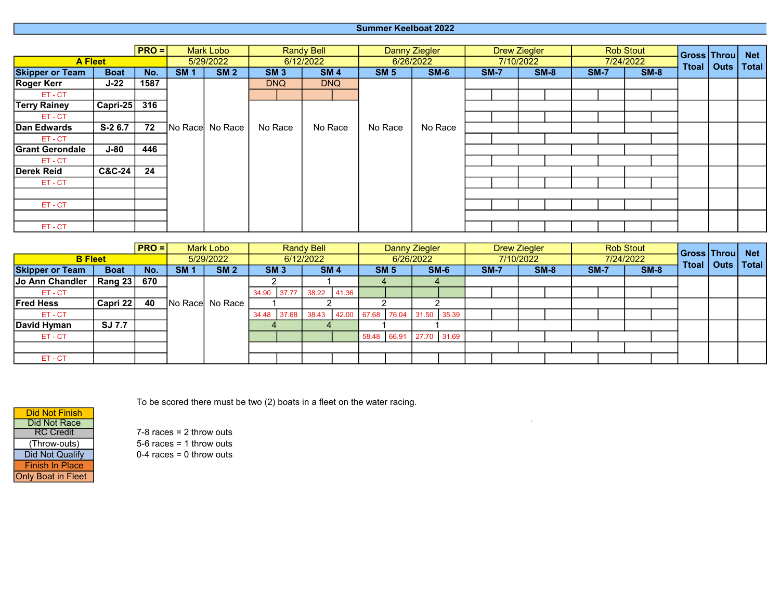## Summer Keelboat 2022

|                        |                             | $ PRO =  $ |            | <b>Mark Lobo</b> |            | <b>Randy Bell</b> |             | <b>Danny Ziegler</b> |             |  | <b>Drew Ziegler</b> |              | <b>Rob Stout</b> |        | Gross Throu |  | <b>Net</b> |
|------------------------|-----------------------------|------------|------------|------------------|------------|-------------------|-------------|----------------------|-------------|--|---------------------|--------------|------------------|--------|-------------|--|------------|
|                        | <b>A Fleet</b><br>5/29/2022 |            | 6/12/2022  |                  | 6/26/2022  |                   | 7/10/2022   | 7/24/2022            |             |  |                     | Ttoal   Outs | <b>Total</b>     |        |             |  |            |
| <b>Skipper or Team</b> | <b>Boat</b>                 | No.        | <b>SM1</b> | <b>SM 2</b>      | <b>SM3</b> | <b>SM4</b>        | <b>SM 5</b> | $SM-6$               | <b>SM-7</b> |  | $SM-8$              | $SM-7$       |                  | $SM-8$ |             |  |            |
| <b>Roger Kerr</b>      | $J-22$                      | 1587       |            |                  | <b>DNQ</b> | <b>DNQ</b>        |             |                      |             |  |                     |              |                  |        |             |  |            |
| ET-CT                  |                             |            |            |                  |            |                   |             |                      |             |  |                     |              |                  |        |             |  |            |
| <b>Terry Rainey</b>    | $ $ Capri-25 $ $            | 316        |            |                  |            |                   |             |                      |             |  |                     |              |                  |        |             |  |            |
| ET-CT                  |                             |            |            |                  |            |                   |             |                      |             |  |                     |              |                  |        |             |  |            |
| Dan Edwards            | $S-26.7$                    | 72         |            | No Race No Race  | No Race    | No Race           | No Race     | No Race              |             |  |                     |              |                  |        |             |  |            |
| ET-CT                  |                             |            |            |                  |            |                   |             |                      |             |  |                     |              |                  |        |             |  |            |
| <b>Grant Gerondale</b> | $J-80$                      | 446        |            |                  |            |                   |             |                      |             |  |                     |              |                  |        |             |  |            |
| ET-CT                  |                             |            |            |                  |            |                   |             |                      |             |  |                     |              |                  |        |             |  |            |
| Derek Reid             | <b>C&amp;C-24</b>           | 24         |            |                  |            |                   |             |                      |             |  |                     |              |                  |        |             |  |            |
| ET-CT                  |                             |            |            |                  |            |                   |             |                      |             |  |                     |              |                  |        |             |  |            |
|                        |                             |            |            |                  |            |                   |             |                      |             |  |                     |              |                  |        |             |  |            |
| ET-CT                  |                             |            |            |                  |            |                   |             |                      |             |  |                     |              |                  |        |             |  |            |
|                        |                             |            |            |                  |            |                   |             |                      |             |  |                     |              |                  |        |             |  |            |
| ET-CT                  |                             |            |            |                  |            |                   |             |                      |             |  |                     |              |                  |        |             |  |            |

|                        |             | $PRO =$   | Mark Lobo |                  | <b>Randy Bell</b> |                 |           |            | <b>Danny Ziegler</b> |                         |           |        | <b>Drew Ziegler</b> |             |  |        | <b>Rob Stout</b> |        |              |              | Gross Throu |  | <b>Net</b> |
|------------------------|-------------|-----------|-----------|------------------|-------------------|-----------------|-----------|------------|----------------------|-------------------------|-----------|--------|---------------------|-------------|--|--------|------------------|--------|--------------|--------------|-------------|--|------------|
| <b>B</b> Fleet         |             | 5/29/2022 |           | 6/12/2022        |                   |                 | 6/26/2022 |            |                      |                         | 7/10/2022 |        |                     | 7/24/2022   |  |        |                  |        | Ttoal   Outs | <b>Total</b> |             |  |            |
| <b>Skipper or Team</b> | <b>Boat</b> | No.       | SM 1      | <b>SM 2</b>      |                   | SM <sub>3</sub> |           | <b>SM4</b> |                      | <b>SM 5</b>             |           | $SM-6$ |                     | <b>SM-7</b> |  | $SM-8$ |                  | $SM-7$ |              | $SM-8$       |             |  |            |
| Jo Ann Chandler        | Rang 23     | 670       |           |                  |                   |                 |           |            |                      |                         |           |        |                     |             |  |        |                  |        |              |              |             |  |            |
| ET-CT                  |             |           |           |                  | 34.90             | 37.77           | 38.22     | 41.36      |                      |                         |           |        |                     |             |  |        |                  |        |              |              |             |  |            |
| <b>Fred Hess</b>       | Capri 22    | 40        |           | No Racel No Race |                   |                 |           |            |                      |                         |           |        |                     |             |  |        |                  |        |              |              |             |  |            |
| ET-CT                  |             |           |           |                  | 34.48             | 37.68           | 38.43     | 42.00      |                      | 67.68 76.04 31.50 35.39 |           |        |                     |             |  |        |                  |        |              |              |             |  |            |
| David Hyman            | SJ 7.7      |           |           |                  |                   |                 |           |            |                      |                         |           |        |                     |             |  |        |                  |        |              |              |             |  |            |
| ET-CT                  |             |           |           |                  |                   |                 |           |            |                      | 58.48 66.91 27.70 31.69 |           |        |                     |             |  |        |                  |        |              |              |             |  |            |
|                        |             |           |           |                  |                   |                 |           |            |                      |                         |           |        |                     |             |  |        |                  |        |              |              |             |  |            |
| ET-CT                  |             |           |           |                  |                   |                 |           |            |                      |                         |           |        |                     |             |  |        |                  |        |              |              |             |  |            |



To be scored there must be two (2) boats in a fleet on the water racing.

RC Credit 7-8 races = 2 throw outs<br>
(Throw-outs) 5-6 races = 1 throw outs (Throw-outs) 5-6 races = 1 throw outs<br>Did Not Qualify 0-4 races = 0 throw outs  $0-4$  races = 0 throw outs